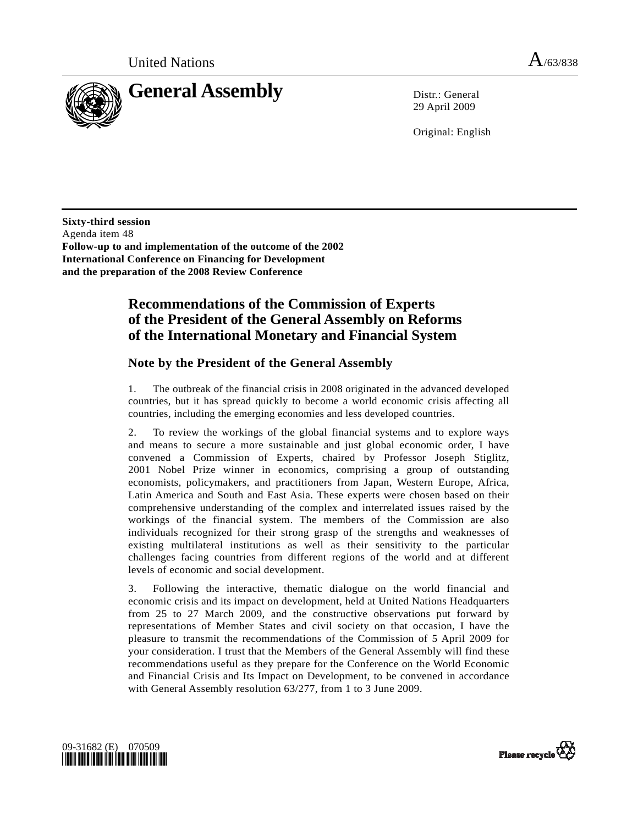

29 April 2009

Original: English

**Sixty-third session**  Agenda item 48 **Follow-up to and implementation of the outcome of the 2002 International Conference on Financing for Development and the preparation of the 2008 Review Conference** 

# **Recommendations of the Commission of Experts of the President of the General Assembly on Reforms of the International Monetary and Financial System**

## **Note by the President of the General Assembly**

1. The outbreak of the financial crisis in 2008 originated in the advanced developed countries, but it has spread quickly to become a world economic crisis affecting all countries, including the emerging economies and less developed countries.

2. To review the workings of the global financial systems and to explore ways and means to secure a more sustainable and just global economic order, I have convened a Commission of Experts, chaired by Professor Joseph Stiglitz, 2001 Nobel Prize winner in economics, comprising a group of outstanding economists, policymakers, and practitioners from Japan, Western Europe, Africa, Latin America and South and East Asia. These experts were chosen based on their comprehensive understanding of the complex and interrelated issues raised by the workings of the financial system. The members of the Commission are also individuals recognized for their strong grasp of the strengths and weaknesses of existing multilateral institutions as well as their sensitivity to the particular challenges facing countries from different regions of the world and at different levels of economic and social development.

3. Following the interactive, thematic dialogue on the world financial and economic crisis and its impact on development, held at United Nations Headquarters from 25 to 27 March 2009, and the constructive observations put forward by representations of Member States and civil society on that occasion, I have the pleasure to transmit the recommendations of the Commission of 5 April 2009 for your consideration. I trust that the Members of the General Assembly will find these recommendations useful as they prepare for the Conference on the World Economic and Financial Crisis and Its Impact on Development, to be convened in accordance with General Assembly resolution 63/277, from 1 to 3 June 2009.



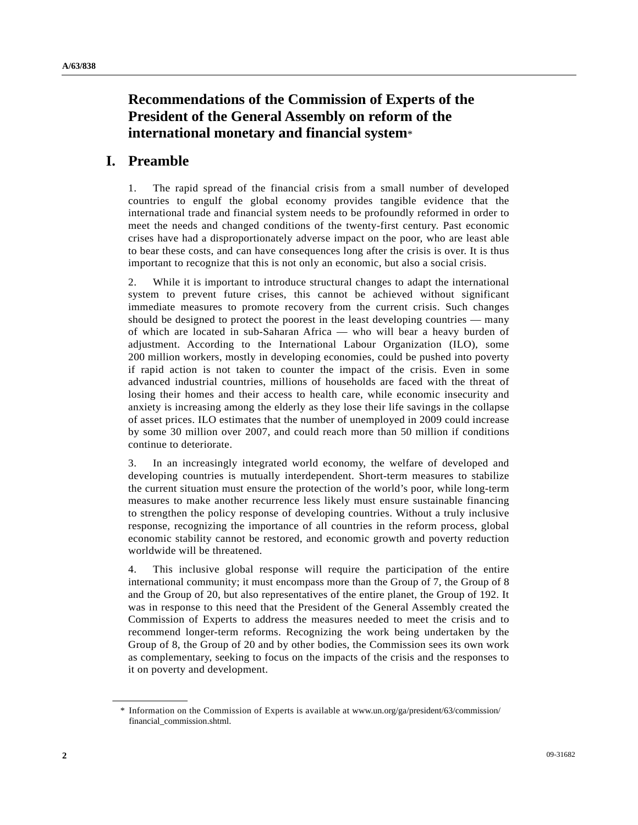# **Recommendations of the Commission of Experts of the President of the General Assembly on reform of the international monetary and financial system**\*

# **I. Preamble**

1. The rapid spread of the financial crisis from a small number of developed countries to engulf the global economy provides tangible evidence that the international trade and financial system needs to be profoundly reformed in order to meet the needs and changed conditions of the twenty-first century. Past economic crises have had a disproportionately adverse impact on the poor, who are least able to bear these costs, and can have consequences long after the crisis is over. It is thus important to recognize that this is not only an economic, but also a social crisis.

2. While it is important to introduce structural changes to adapt the international system to prevent future crises, this cannot be achieved without significant immediate measures to promote recovery from the current crisis. Such changes should be designed to protect the poorest in the least developing countries — many of which are located in sub-Saharan Africa — who will bear a heavy burden of adjustment. According to the International Labour Organization (ILO), some 200 million workers, mostly in developing economies, could be pushed into poverty if rapid action is not taken to counter the impact of the crisis. Even in some advanced industrial countries, millions of households are faced with the threat of losing their homes and their access to health care, while economic insecurity and anxiety is increasing among the elderly as they lose their life savings in the collapse of asset prices. ILO estimates that the number of unemployed in 2009 could increase by some 30 million over 2007, and could reach more than 50 million if conditions continue to deteriorate.

3. In an increasingly integrated world economy, the welfare of developed and developing countries is mutually interdependent. Short-term measures to stabilize the current situation must ensure the protection of the world's poor, while long-term measures to make another recurrence less likely must ensure sustainable financing to strengthen the policy response of developing countries. Without a truly inclusive response, recognizing the importance of all countries in the reform process, global economic stability cannot be restored, and economic growth and poverty reduction worldwide will be threatened.

4. This inclusive global response will require the participation of the entire international community; it must encompass more than the Group of 7, the Group of 8 and the Group of 20, but also representatives of the entire planet, the Group of 192. It was in response to this need that the President of the General Assembly created the Commission of Experts to address the measures needed to meet the crisis and to recommend longer-term reforms. Recognizing the work being undertaken by the Group of 8, the Group of 20 and by other bodies, the Commission sees its own work as complementary, seeking to focus on the impacts of the crisis and the responses to it on poverty and development.

 <sup>\*</sup> Information on the Commission of Experts is available at www.un.org/ga/president/63/commission/ financial\_commission.shtml.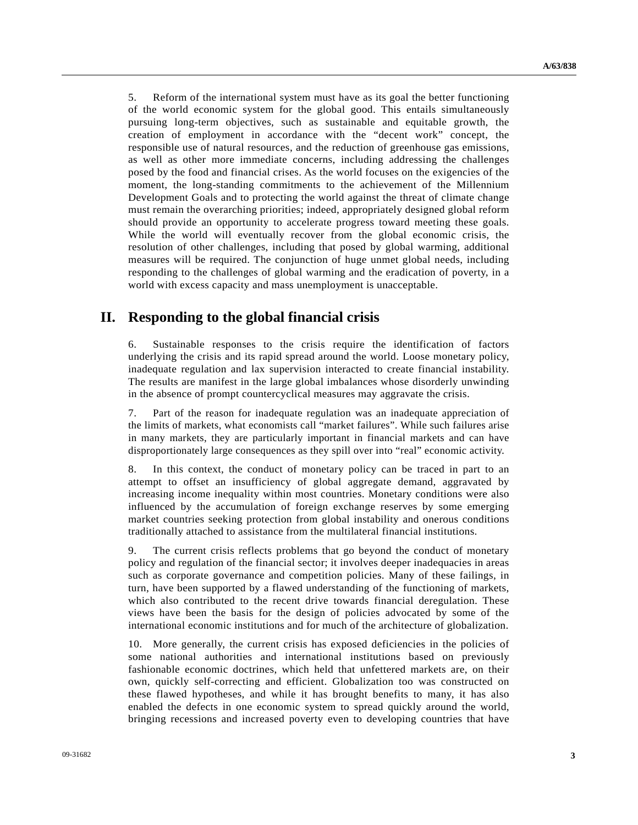5. Reform of the international system must have as its goal the better functioning of the world economic system for the global good. This entails simultaneously pursuing long-term objectives, such as sustainable and equitable growth, the creation of employment in accordance with the "decent work" concept, the responsible use of natural resources, and the reduction of greenhouse gas emissions, as well as other more immediate concerns, including addressing the challenges posed by the food and financial crises. As the world focuses on the exigencies of the moment, the long-standing commitments to the achievement of the Millennium Development Goals and to protecting the world against the threat of climate change must remain the overarching priorities; indeed, appropriately designed global reform should provide an opportunity to accelerate progress toward meeting these goals. While the world will eventually recover from the global economic crisis, the resolution of other challenges, including that posed by global warming, additional measures will be required. The conjunction of huge unmet global needs, including responding to the challenges of global warming and the eradication of poverty, in a world with excess capacity and mass unemployment is unacceptable.

# **II. Responding to the global financial crisis**

6. Sustainable responses to the crisis require the identification of factors underlying the crisis and its rapid spread around the world. Loose monetary policy, inadequate regulation and lax supervision interacted to create financial instability. The results are manifest in the large global imbalances whose disorderly unwinding in the absence of prompt countercyclical measures may aggravate the crisis.

7. Part of the reason for inadequate regulation was an inadequate appreciation of the limits of markets, what economists call "market failures". While such failures arise in many markets, they are particularly important in financial markets and can have disproportionately large consequences as they spill over into "real" economic activity.

8. In this context, the conduct of monetary policy can be traced in part to an attempt to offset an insufficiency of global aggregate demand, aggravated by increasing income inequality within most countries. Monetary conditions were also influenced by the accumulation of foreign exchange reserves by some emerging market countries seeking protection from global instability and onerous conditions traditionally attached to assistance from the multilateral financial institutions.

9. The current crisis reflects problems that go beyond the conduct of monetary policy and regulation of the financial sector; it involves deeper inadequacies in areas such as corporate governance and competition policies. Many of these failings, in turn, have been supported by a flawed understanding of the functioning of markets, which also contributed to the recent drive towards financial deregulation. These views have been the basis for the design of policies advocated by some of the international economic institutions and for much of the architecture of globalization.

10. More generally, the current crisis has exposed deficiencies in the policies of some national authorities and international institutions based on previously fashionable economic doctrines, which held that unfettered markets are, on their own, quickly self-correcting and efficient. Globalization too was constructed on these flawed hypotheses, and while it has brought benefits to many, it has also enabled the defects in one economic system to spread quickly around the world, bringing recessions and increased poverty even to developing countries that have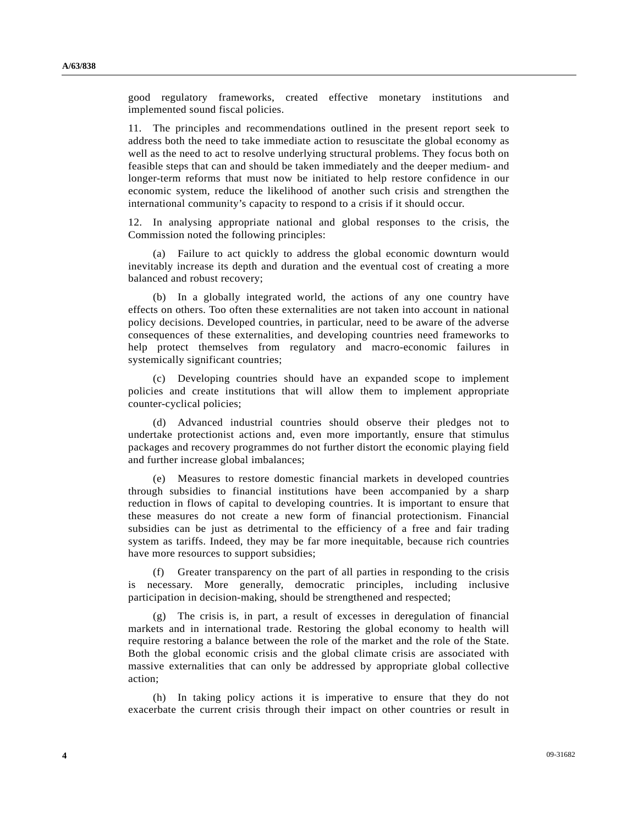good regulatory frameworks, created effective monetary institutions and implemented sound fiscal policies.

11. The principles and recommendations outlined in the present report seek to address both the need to take immediate action to resuscitate the global economy as well as the need to act to resolve underlying structural problems. They focus both on feasible steps that can and should be taken immediately and the deeper medium- and longer-term reforms that must now be initiated to help restore confidence in our economic system, reduce the likelihood of another such crisis and strengthen the international community's capacity to respond to a crisis if it should occur.

12. In analysing appropriate national and global responses to the crisis, the Commission noted the following principles:

 (a) Failure to act quickly to address the global economic downturn would inevitably increase its depth and duration and the eventual cost of creating a more balanced and robust recovery;

 (b) In a globally integrated world, the actions of any one country have effects on others. Too often these externalities are not taken into account in national policy decisions. Developed countries, in particular, need to be aware of the adverse consequences of these externalities, and developing countries need frameworks to help protect themselves from regulatory and macro-economic failures in systemically significant countries;

 (c) Developing countries should have an expanded scope to implement policies and create institutions that will allow them to implement appropriate counter-cyclical policies;

 (d) Advanced industrial countries should observe their pledges not to undertake protectionist actions and, even more importantly, ensure that stimulus packages and recovery programmes do not further distort the economic playing field and further increase global imbalances;

 (e) Measures to restore domestic financial markets in developed countries through subsidies to financial institutions have been accompanied by a sharp reduction in flows of capital to developing countries. It is important to ensure that these measures do not create a new form of financial protectionism. Financial subsidies can be just as detrimental to the efficiency of a free and fair trading system as tariffs. Indeed, they may be far more inequitable, because rich countries have more resources to support subsidies;

 (f) Greater transparency on the part of all parties in responding to the crisis is necessary. More generally, democratic principles, including inclusive participation in decision-making, should be strengthened and respected;

 (g) The crisis is, in part, a result of excesses in deregulation of financial markets and in international trade. Restoring the global economy to health will require restoring a balance between the role of the market and the role of the State. Both the global economic crisis and the global climate crisis are associated with massive externalities that can only be addressed by appropriate global collective action;

 (h) In taking policy actions it is imperative to ensure that they do not exacerbate the current crisis through their impact on other countries or result in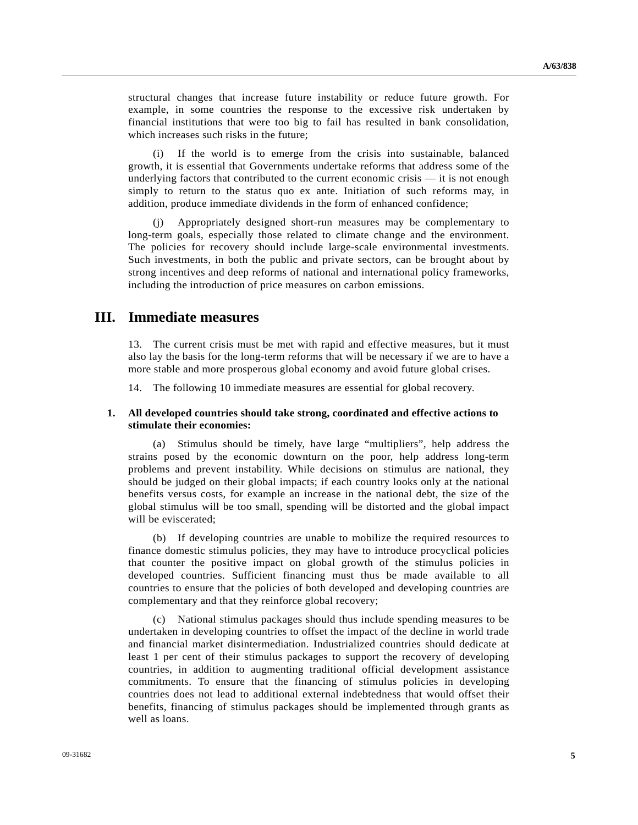structural changes that increase future instability or reduce future growth. For example, in some countries the response to the excessive risk undertaken by financial institutions that were too big to fail has resulted in bank consolidation, which increases such risks in the future;

 (i) If the world is to emerge from the crisis into sustainable, balanced growth, it is essential that Governments undertake reforms that address some of the underlying factors that contributed to the current economic crisis — it is not enough simply to return to the status quo ex ante. Initiation of such reforms may, in addition, produce immediate dividends in the form of enhanced confidence;

 (j) Appropriately designed short-run measures may be complementary to long-term goals, especially those related to climate change and the environment. The policies for recovery should include large-scale environmental investments. Such investments, in both the public and private sectors, can be brought about by strong incentives and deep reforms of national and international policy frameworks, including the introduction of price measures on carbon emissions.

## **III. Immediate measures**

13. The current crisis must be met with rapid and effective measures, but it must also lay the basis for the long-term reforms that will be necessary if we are to have a more stable and more prosperous global economy and avoid future global crises.

14. The following 10 immediate measures are essential for global recovery.

#### **1. All developed countries should take strong, coordinated and effective actions to stimulate their economies:**

 (a) Stimulus should be timely, have large "multipliers", help address the strains posed by the economic downturn on the poor, help address long-term problems and prevent instability. While decisions on stimulus are national, they should be judged on their global impacts; if each country looks only at the national benefits versus costs, for example an increase in the national debt, the size of the global stimulus will be too small, spending will be distorted and the global impact will be eviscerated;

 (b) If developing countries are unable to mobilize the required resources to finance domestic stimulus policies, they may have to introduce procyclical policies that counter the positive impact on global growth of the stimulus policies in developed countries. Sufficient financing must thus be made available to all countries to ensure that the policies of both developed and developing countries are complementary and that they reinforce global recovery;

 (c) National stimulus packages should thus include spending measures to be undertaken in developing countries to offset the impact of the decline in world trade and financial market disintermediation. Industrialized countries should dedicate at least 1 per cent of their stimulus packages to support the recovery of developing countries, in addition to augmenting traditional official development assistance commitments. To ensure that the financing of stimulus policies in developing countries does not lead to additional external indebtedness that would offset their benefits, financing of stimulus packages should be implemented through grants as well as loans.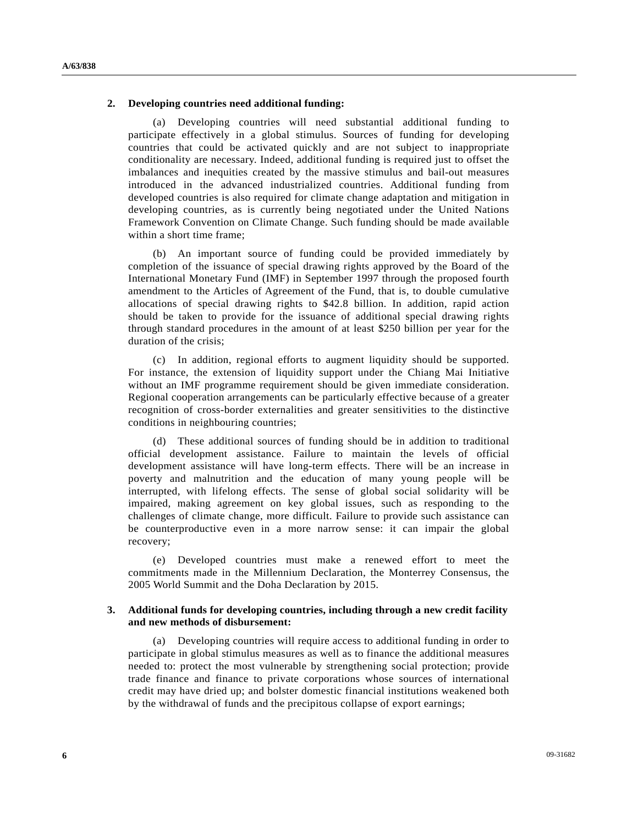#### **2. Developing countries need additional funding:**

 (a) Developing countries will need substantial additional funding to participate effectively in a global stimulus. Sources of funding for developing countries that could be activated quickly and are not subject to inappropriate conditionality are necessary. Indeed, additional funding is required just to offset the imbalances and inequities created by the massive stimulus and bail-out measures introduced in the advanced industrialized countries. Additional funding from developed countries is also required for climate change adaptation and mitigation in developing countries, as is currently being negotiated under the United Nations Framework Convention on Climate Change. Such funding should be made available within a short time frame;

 (b) An important source of funding could be provided immediately by completion of the issuance of special drawing rights approved by the Board of the International Monetary Fund (IMF) in September 1997 through the proposed fourth amendment to the Articles of Agreement of the Fund, that is, to double cumulative allocations of special drawing rights to \$42.8 billion. In addition, rapid action should be taken to provide for the issuance of additional special drawing rights through standard procedures in the amount of at least \$250 billion per year for the duration of the crisis;

 (c) In addition, regional efforts to augment liquidity should be supported. For instance, the extension of liquidity support under the Chiang Mai Initiative without an IMF programme requirement should be given immediate consideration. Regional cooperation arrangements can be particularly effective because of a greater recognition of cross-border externalities and greater sensitivities to the distinctive conditions in neighbouring countries;

 (d) These additional sources of funding should be in addition to traditional official development assistance. Failure to maintain the levels of official development assistance will have long-term effects. There will be an increase in poverty and malnutrition and the education of many young people will be interrupted, with lifelong effects. The sense of global social solidarity will be impaired, making agreement on key global issues, such as responding to the challenges of climate change, more difficult. Failure to provide such assistance can be counterproductive even in a more narrow sense: it can impair the global recovery;

 (e) Developed countries must make a renewed effort to meet the commitments made in the Millennium Declaration, the Monterrey Consensus, the 2005 World Summit and the Doha Declaration by 2015.

#### **3. Additional funds for developing countries, including through a new credit facility and new methods of disbursement:**

 (a) Developing countries will require access to additional funding in order to participate in global stimulus measures as well as to finance the additional measures needed to: protect the most vulnerable by strengthening social protection; provide trade finance and finance to private corporations whose sources of international credit may have dried up; and bolster domestic financial institutions weakened both by the withdrawal of funds and the precipitous collapse of export earnings;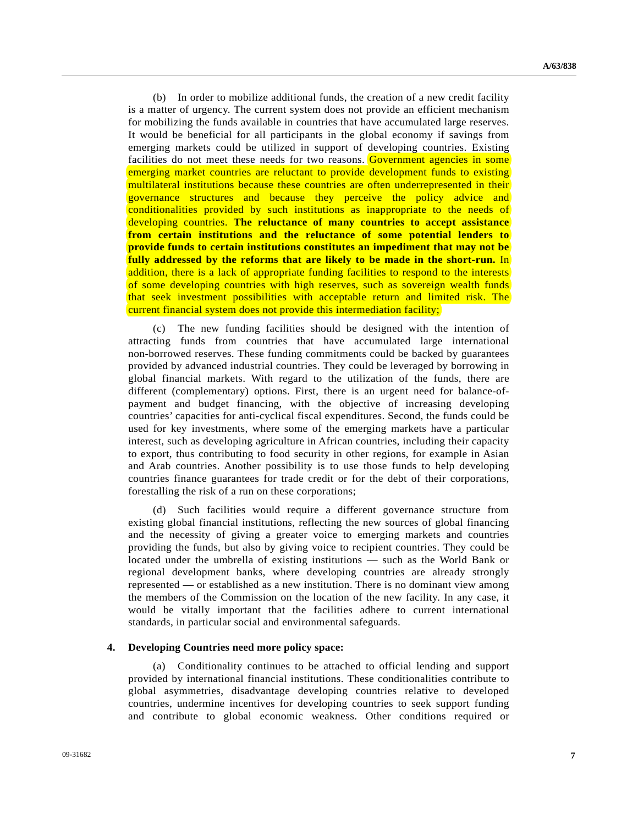(b) In order to mobilize additional funds, the creation of a new credit facility is a matter of urgency. The current system does not provide an efficient mechanism for mobilizing the funds available in countries that have accumulated large reserves. It would be beneficial for all participants in the global economy if savings from emerging markets could be utilized in support of developing countries. Existing facilities do not meet these needs for two reasons. Government agencies in some emerging market countries are reluctant to provide development funds to existing multilateral institutions because these countries are often underrepresented in their governance structures and because they perceive the policy advice and conditionalities provided by such institutions as inappropriate to the needs of developing countries. **The reluctance of many countries to accept assistance from certain institutions and the reluctance of some potential lenders to provide funds to certain institutions constitutes an impediment that may not be fully addressed by the reforms that are likely to be made in the short-run.** In addition, there is a lack of appropriate funding facilities to respond to the interests of some developing countries with high reserves, such as sovereign wealth funds that seek investment possibilities with acceptable return and limited risk. The current financial system does not provide this intermediation facility;

 (c) The new funding facilities should be designed with the intention of attracting funds from countries that have accumulated large international non-borrowed reserves. These funding commitments could be backed by guarantees provided by advanced industrial countries. They could be leveraged by borrowing in global financial markets. With regard to the utilization of the funds, there are different (complementary) options. First, there is an urgent need for balance-ofpayment and budget financing, with the objective of increasing developing countries' capacities for anti-cyclical fiscal expenditures. Second, the funds could be used for key investments, where some of the emerging markets have a particular interest, such as developing agriculture in African countries, including their capacity to export, thus contributing to food security in other regions, for example in Asian and Arab countries. Another possibility is to use those funds to help developing countries finance guarantees for trade credit or for the debt of their corporations, forestalling the risk of a run on these corporations;

 (d) Such facilities would require a different governance structure from existing global financial institutions, reflecting the new sources of global financing and the necessity of giving a greater voice to emerging markets and countries providing the funds, but also by giving voice to recipient countries. They could be located under the umbrella of existing institutions — such as the World Bank or regional development banks, where developing countries are already strongly represented — or established as a new institution. There is no dominant view among the members of the Commission on the location of the new facility. In any case, it would be vitally important that the facilities adhere to current international standards, in particular social and environmental safeguards.

#### **4. Developing Countries need more policy space:**

 (a) Conditionality continues to be attached to official lending and support provided by international financial institutions. These conditionalities contribute to global asymmetries, disadvantage developing countries relative to developed countries, undermine incentives for developing countries to seek support funding and contribute to global economic weakness. Other conditions required or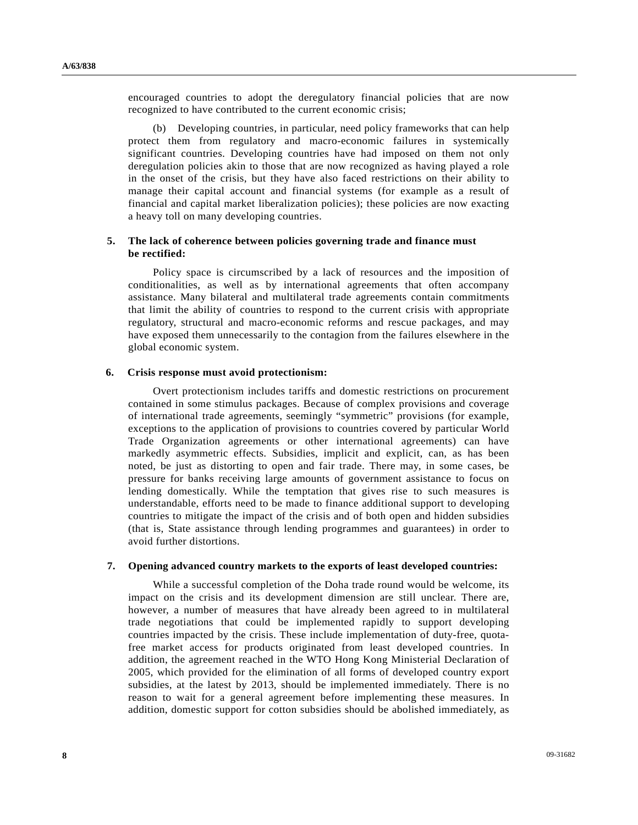encouraged countries to adopt the deregulatory financial policies that are now recognized to have contributed to the current economic crisis;

 (b) Developing countries, in particular, need policy frameworks that can help protect them from regulatory and macro-economic failures in systemically significant countries. Developing countries have had imposed on them not only deregulation policies akin to those that are now recognized as having played a role in the onset of the crisis, but they have also faced restrictions on their ability to manage their capital account and financial systems (for example as a result of financial and capital market liberalization policies); these policies are now exacting a heavy toll on many developing countries.

#### **5. The lack of coherence between policies governing trade and finance must be rectified:**

 Policy space is circumscribed by a lack of resources and the imposition of conditionalities, as well as by international agreements that often accompany assistance. Many bilateral and multilateral trade agreements contain commitments that limit the ability of countries to respond to the current crisis with appropriate regulatory, structural and macro-economic reforms and rescue packages, and may have exposed them unnecessarily to the contagion from the failures elsewhere in the global economic system.

#### **6. Crisis response must avoid protectionism:**

 Overt protectionism includes tariffs and domestic restrictions on procurement contained in some stimulus packages. Because of complex provisions and coverage of international trade agreements, seemingly "symmetric" provisions (for example, exceptions to the application of provisions to countries covered by particular World Trade Organization agreements or other international agreements) can have markedly asymmetric effects. Subsidies, implicit and explicit, can, as has been noted, be just as distorting to open and fair trade. There may, in some cases, be pressure for banks receiving large amounts of government assistance to focus on lending domestically. While the temptation that gives rise to such measures is understandable, efforts need to be made to finance additional support to developing countries to mitigate the impact of the crisis and of both open and hidden subsidies (that is, State assistance through lending programmes and guarantees) in order to avoid further distortions.

#### **7. Opening advanced country markets to the exports of least developed countries:**

 While a successful completion of the Doha trade round would be welcome, its impact on the crisis and its development dimension are still unclear. There are, however, a number of measures that have already been agreed to in multilateral trade negotiations that could be implemented rapidly to support developing countries impacted by the crisis. These include implementation of duty-free, quotafree market access for products originated from least developed countries. In addition, the agreement reached in the WTO Hong Kong Ministerial Declaration of 2005, which provided for the elimination of all forms of developed country export subsidies, at the latest by 2013, should be implemented immediately. There is no reason to wait for a general agreement before implementing these measures. In addition, domestic support for cotton subsidies should be abolished immediately, as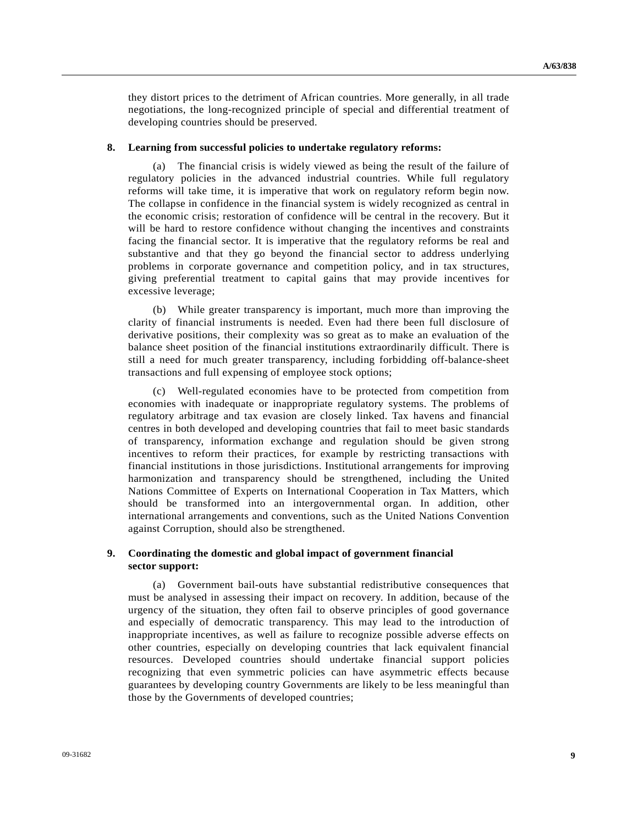they distort prices to the detriment of African countries. More generally, in all trade negotiations, the long-recognized principle of special and differential treatment of developing countries should be preserved.

#### **8. Learning from successful policies to undertake regulatory reforms:**

 (a) The financial crisis is widely viewed as being the result of the failure of regulatory policies in the advanced industrial countries. While full regulatory reforms will take time, it is imperative that work on regulatory reform begin now. The collapse in confidence in the financial system is widely recognized as central in the economic crisis; restoration of confidence will be central in the recovery. But it will be hard to restore confidence without changing the incentives and constraints facing the financial sector. It is imperative that the regulatory reforms be real and substantive and that they go beyond the financial sector to address underlying problems in corporate governance and competition policy, and in tax structures, giving preferential treatment to capital gains that may provide incentives for excessive leverage;

 (b) While greater transparency is important, much more than improving the clarity of financial instruments is needed. Even had there been full disclosure of derivative positions, their complexity was so great as to make an evaluation of the balance sheet position of the financial institutions extraordinarily difficult. There is still a need for much greater transparency, including forbidding off-balance-sheet transactions and full expensing of employee stock options;

 (c) Well-regulated economies have to be protected from competition from economies with inadequate or inappropriate regulatory systems. The problems of regulatory arbitrage and tax evasion are closely linked. Tax havens and financial centres in both developed and developing countries that fail to meet basic standards of transparency, information exchange and regulation should be given strong incentives to reform their practices, for example by restricting transactions with financial institutions in those jurisdictions. Institutional arrangements for improving harmonization and transparency should be strengthened, including the United Nations Committee of Experts on International Cooperation in Tax Matters, which should be transformed into an intergovernmental organ. In addition, other international arrangements and conventions, such as the United Nations Convention against Corruption, should also be strengthened.

#### **9. Coordinating the domestic and global impact of government financial sector support:**

 (a) Government bail-outs have substantial redistributive consequences that must be analysed in assessing their impact on recovery. In addition, because of the urgency of the situation, they often fail to observe principles of good governance and especially of democratic transparency. This may lead to the introduction of inappropriate incentives, as well as failure to recognize possible adverse effects on other countries, especially on developing countries that lack equivalent financial resources. Developed countries should undertake financial support policies recognizing that even symmetric policies can have asymmetric effects because guarantees by developing country Governments are likely to be less meaningful than those by the Governments of developed countries;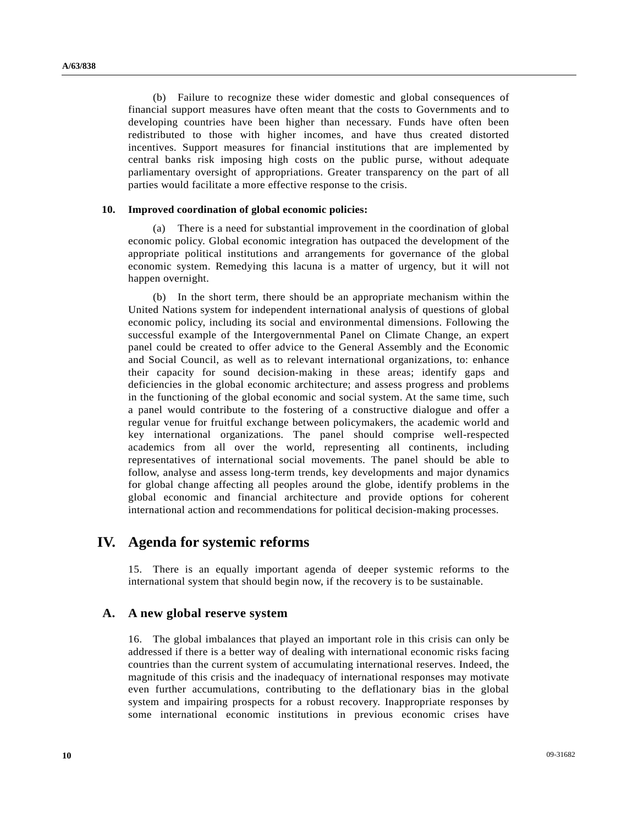(b) Failure to recognize these wider domestic and global consequences of financial support measures have often meant that the costs to Governments and to developing countries have been higher than necessary. Funds have often been redistributed to those with higher incomes, and have thus created distorted incentives. Support measures for financial institutions that are implemented by central banks risk imposing high costs on the public purse, without adequate parliamentary oversight of appropriations. Greater transparency on the part of all parties would facilitate a more effective response to the crisis.

#### **10. Improved coordination of global economic policies:**

 (a) There is a need for substantial improvement in the coordination of global economic policy. Global economic integration has outpaced the development of the appropriate political institutions and arrangements for governance of the global economic system. Remedying this lacuna is a matter of urgency, but it will not happen overnight.

 (b) In the short term, there should be an appropriate mechanism within the United Nations system for independent international analysis of questions of global economic policy, including its social and environmental dimensions. Following the successful example of the Intergovernmental Panel on Climate Change, an expert panel could be created to offer advice to the General Assembly and the Economic and Social Council, as well as to relevant international organizations, to: enhance their capacity for sound decision-making in these areas; identify gaps and deficiencies in the global economic architecture; and assess progress and problems in the functioning of the global economic and social system. At the same time, such a panel would contribute to the fostering of a constructive dialogue and offer a regular venue for fruitful exchange between policymakers, the academic world and key international organizations. The panel should comprise well-respected academics from all over the world, representing all continents, including representatives of international social movements. The panel should be able to follow, analyse and assess long-term trends, key developments and major dynamics for global change affecting all peoples around the globe, identify problems in the global economic and financial architecture and provide options for coherent international action and recommendations for political decision-making processes.

## **IV. Agenda for systemic reforms**

15. There is an equally important agenda of deeper systemic reforms to the international system that should begin now, if the recovery is to be sustainable.

#### **A. A new global reserve system**

16. The global imbalances that played an important role in this crisis can only be addressed if there is a better way of dealing with international economic risks facing countries than the current system of accumulating international reserves. Indeed, the magnitude of this crisis and the inadequacy of international responses may motivate even further accumulations, contributing to the deflationary bias in the global system and impairing prospects for a robust recovery. Inappropriate responses by some international economic institutions in previous economic crises have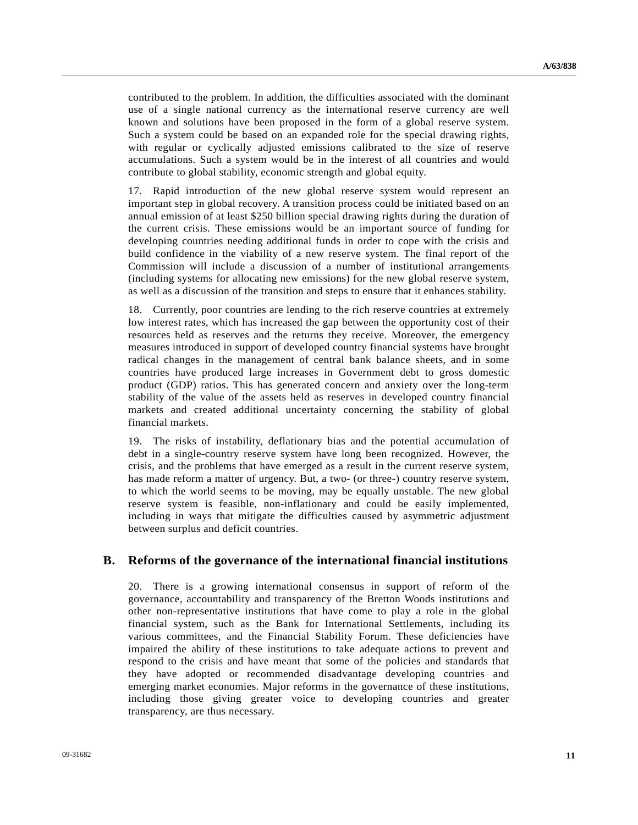contributed to the problem. In addition, the difficulties associated with the dominant use of a single national currency as the international reserve currency are well known and solutions have been proposed in the form of a global reserve system. Such a system could be based on an expanded role for the special drawing rights, with regular or cyclically adjusted emissions calibrated to the size of reserve accumulations. Such a system would be in the interest of all countries and would contribute to global stability, economic strength and global equity.

17. Rapid introduction of the new global reserve system would represent an important step in global recovery. A transition process could be initiated based on an annual emission of at least \$250 billion special drawing rights during the duration of the current crisis. These emissions would be an important source of funding for developing countries needing additional funds in order to cope with the crisis and build confidence in the viability of a new reserve system. The final report of the Commission will include a discussion of a number of institutional arrangements (including systems for allocating new emissions) for the new global reserve system, as well as a discussion of the transition and steps to ensure that it enhances stability.

18. Currently, poor countries are lending to the rich reserve countries at extremely low interest rates, which has increased the gap between the opportunity cost of their resources held as reserves and the returns they receive. Moreover, the emergency measures introduced in support of developed country financial systems have brought radical changes in the management of central bank balance sheets, and in some countries have produced large increases in Government debt to gross domestic product (GDP) ratios. This has generated concern and anxiety over the long-term stability of the value of the assets held as reserves in developed country financial markets and created additional uncertainty concerning the stability of global financial markets.

19. The risks of instability, deflationary bias and the potential accumulation of debt in a single-country reserve system have long been recognized. However, the crisis, and the problems that have emerged as a result in the current reserve system, has made reform a matter of urgency. But, a two- (or three-) country reserve system, to which the world seems to be moving, may be equally unstable. The new global reserve system is feasible, non-inflationary and could be easily implemented, including in ways that mitigate the difficulties caused by asymmetric adjustment between surplus and deficit countries.

### **B. Reforms of the governance of the international financial institutions**

20. There is a growing international consensus in support of reform of the governance, accountability and transparency of the Bretton Woods institutions and other non-representative institutions that have come to play a role in the global financial system, such as the Bank for International Settlements, including its various committees, and the Financial Stability Forum. These deficiencies have impaired the ability of these institutions to take adequate actions to prevent and respond to the crisis and have meant that some of the policies and standards that they have adopted or recommended disadvantage developing countries and emerging market economies. Major reforms in the governance of these institutions, including those giving greater voice to developing countries and greater transparency, are thus necessary.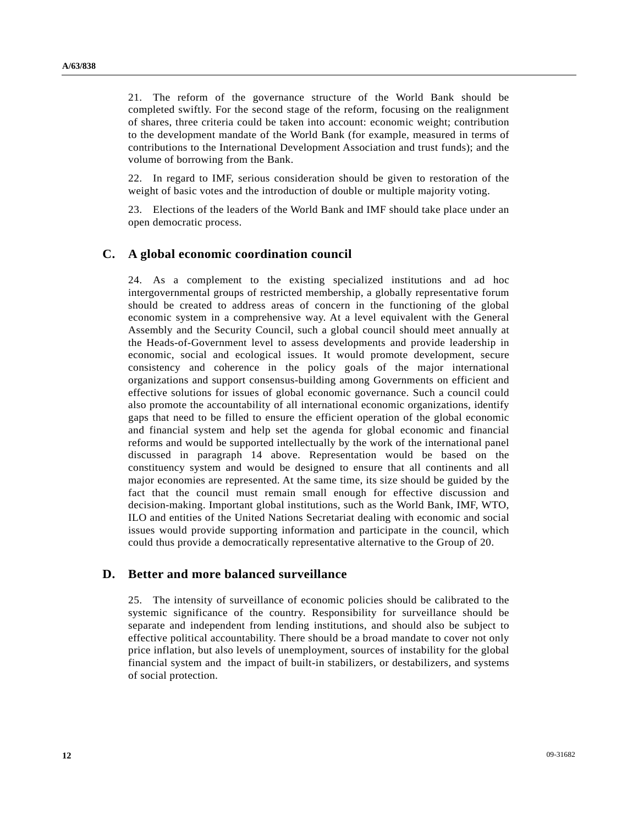21. The reform of the governance structure of the World Bank should be completed swiftly. For the second stage of the reform, focusing on the realignment of shares, three criteria could be taken into account: economic weight; contribution to the development mandate of the World Bank (for example, measured in terms of contributions to the International Development Association and trust funds); and the volume of borrowing from the Bank.

22. In regard to IMF, serious consideration should be given to restoration of the weight of basic votes and the introduction of double or multiple majority voting.

23. Elections of the leaders of the World Bank and IMF should take place under an open democratic process.

### **C. A global economic coordination council**

24. As a complement to the existing specialized institutions and ad hoc intergovernmental groups of restricted membership, a globally representative forum should be created to address areas of concern in the functioning of the global economic system in a comprehensive way. At a level equivalent with the General Assembly and the Security Council, such a global council should meet annually at the Heads-of-Government level to assess developments and provide leadership in economic, social and ecological issues. It would promote development, secure consistency and coherence in the policy goals of the major international organizations and support consensus-building among Governments on efficient and effective solutions for issues of global economic governance. Such a council could also promote the accountability of all international economic organizations, identify gaps that need to be filled to ensure the efficient operation of the global economic and financial system and help set the agenda for global economic and financial reforms and would be supported intellectually by the work of the international panel discussed in paragraph 14 above. Representation would be based on the constituency system and would be designed to ensure that all continents and all major economies are represented. At the same time, its size should be guided by the fact that the council must remain small enough for effective discussion and decision-making. Important global institutions, such as the World Bank, IMF, WTO, ILO and entities of the United Nations Secretariat dealing with economic and social issues would provide supporting information and participate in the council, which could thus provide a democratically representative alternative to the Group of 20.

### **D. Better and more balanced surveillance**

25. The intensity of surveillance of economic policies should be calibrated to the systemic significance of the country. Responsibility for surveillance should be separate and independent from lending institutions, and should also be subject to effective political accountability. There should be a broad mandate to cover not only price inflation, but also levels of unemployment, sources of instability for the global financial system and the impact of built-in stabilizers, or destabilizers, and systems of social protection.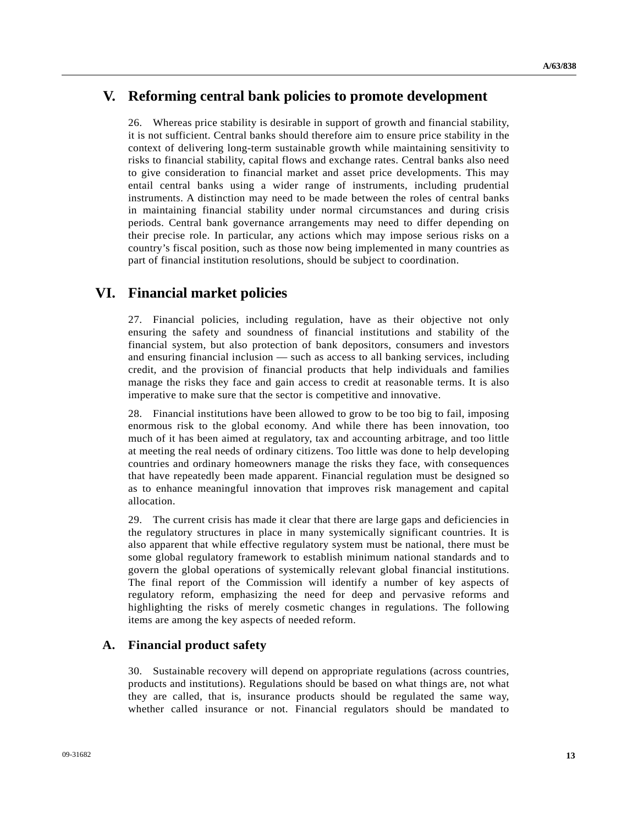## **V. Reforming central bank policies to promote development**

26. Whereas price stability is desirable in support of growth and financial stability, it is not sufficient. Central banks should therefore aim to ensure price stability in the context of delivering long-term sustainable growth while maintaining sensitivity to risks to financial stability, capital flows and exchange rates. Central banks also need to give consideration to financial market and asset price developments. This may entail central banks using a wider range of instruments, including prudential instruments. A distinction may need to be made between the roles of central banks in maintaining financial stability under normal circumstances and during crisis periods. Central bank governance arrangements may need to differ depending on their precise role. In particular, any actions which may impose serious risks on a country's fiscal position, such as those now being implemented in many countries as part of financial institution resolutions, should be subject to coordination.

## **VI. Financial market policies**

27. Financial policies, including regulation, have as their objective not only ensuring the safety and soundness of financial institutions and stability of the financial system, but also protection of bank depositors, consumers and investors and ensuring financial inclusion — such as access to all banking services, including credit, and the provision of financial products that help individuals and families manage the risks they face and gain access to credit at reasonable terms. It is also imperative to make sure that the sector is competitive and innovative.

28. Financial institutions have been allowed to grow to be too big to fail, imposing enormous risk to the global economy. And while there has been innovation, too much of it has been aimed at regulatory, tax and accounting arbitrage, and too little at meeting the real needs of ordinary citizens. Too little was done to help developing countries and ordinary homeowners manage the risks they face, with consequences that have repeatedly been made apparent. Financial regulation must be designed so as to enhance meaningful innovation that improves risk management and capital allocation.

29. The current crisis has made it clear that there are large gaps and deficiencies in the regulatory structures in place in many systemically significant countries. It is also apparent that while effective regulatory system must be national, there must be some global regulatory framework to establish minimum national standards and to govern the global operations of systemically relevant global financial institutions. The final report of the Commission will identify a number of key aspects of regulatory reform, emphasizing the need for deep and pervasive reforms and highlighting the risks of merely cosmetic changes in regulations. The following items are among the key aspects of needed reform.

## **A. Financial product safety**

30. Sustainable recovery will depend on appropriate regulations (across countries, products and institutions). Regulations should be based on what things are, not what they are called, that is, insurance products should be regulated the same way, whether called insurance or not. Financial regulators should be mandated to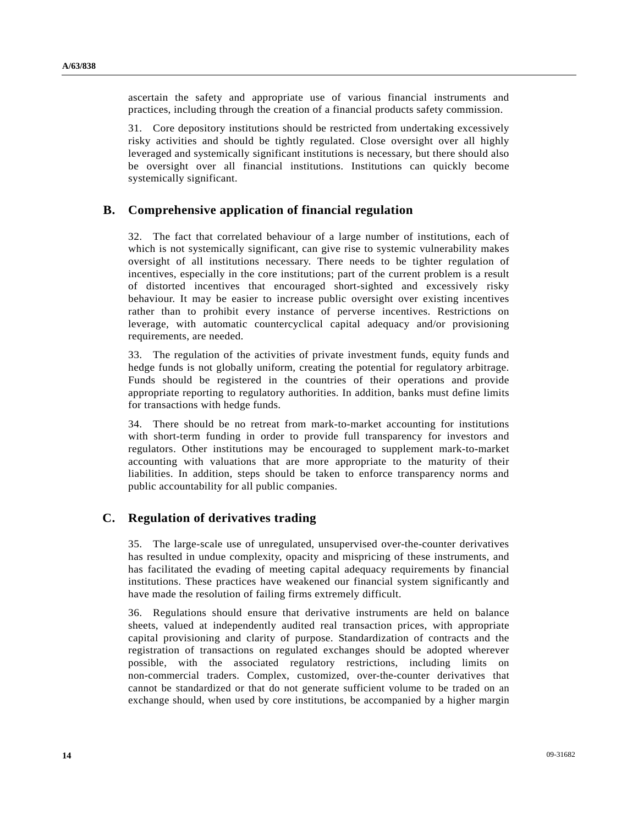ascertain the safety and appropriate use of various financial instruments and practices, including through the creation of a financial products safety commission.

31. Core depository institutions should be restricted from undertaking excessively risky activities and should be tightly regulated. Close oversight over all highly leveraged and systemically significant institutions is necessary, but there should also be oversight over all financial institutions. Institutions can quickly become systemically significant.

### **B. Comprehensive application of financial regulation**

32. The fact that correlated behaviour of a large number of institutions, each of which is not systemically significant, can give rise to systemic vulnerability makes oversight of all institutions necessary. There needs to be tighter regulation of incentives, especially in the core institutions; part of the current problem is a result of distorted incentives that encouraged short-sighted and excessively risky behaviour. It may be easier to increase public oversight over existing incentives rather than to prohibit every instance of perverse incentives. Restrictions on leverage, with automatic countercyclical capital adequacy and/or provisioning requirements, are needed.

33. The regulation of the activities of private investment funds, equity funds and hedge funds is not globally uniform, creating the potential for regulatory arbitrage. Funds should be registered in the countries of their operations and provide appropriate reporting to regulatory authorities. In addition, banks must define limits for transactions with hedge funds.

34. There should be no retreat from mark-to-market accounting for institutions with short-term funding in order to provide full transparency for investors and regulators. Other institutions may be encouraged to supplement mark-to-market accounting with valuations that are more appropriate to the maturity of their liabilities. In addition, steps should be taken to enforce transparency norms and public accountability for all public companies.

## **C. Regulation of derivatives trading**

35. The large-scale use of unregulated, unsupervised over-the-counter derivatives has resulted in undue complexity, opacity and mispricing of these instruments, and has facilitated the evading of meeting capital adequacy requirements by financial institutions. These practices have weakened our financial system significantly and have made the resolution of failing firms extremely difficult.

36. Regulations should ensure that derivative instruments are held on balance sheets, valued at independently audited real transaction prices, with appropriate capital provisioning and clarity of purpose. Standardization of contracts and the registration of transactions on regulated exchanges should be adopted wherever possible, with the associated regulatory restrictions, including limits on non-commercial traders. Complex, customized, over-the-counter derivatives that cannot be standardized or that do not generate sufficient volume to be traded on an exchange should, when used by core institutions, be accompanied by a higher margin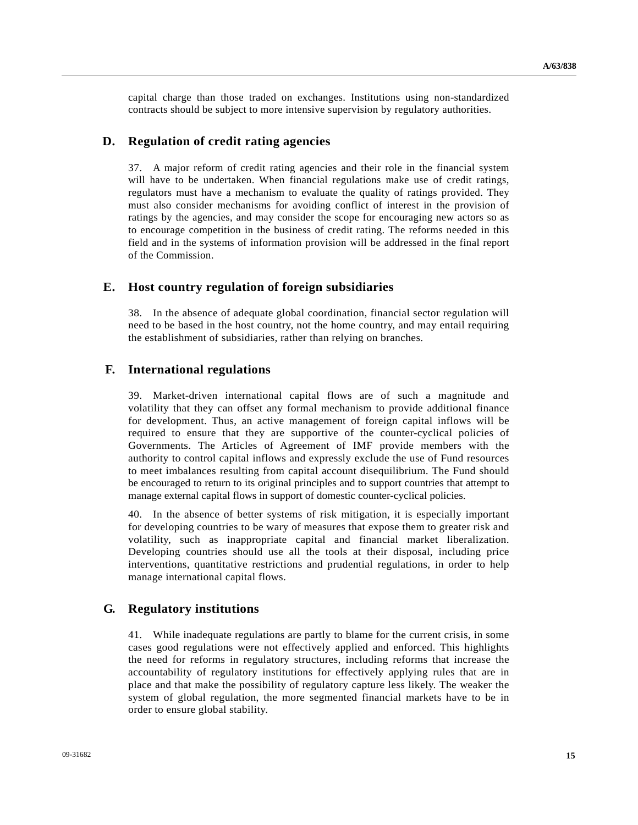capital charge than those traded on exchanges. Institutions using non-standardized contracts should be subject to more intensive supervision by regulatory authorities.

### **D. Regulation of credit rating agencies**

37. A major reform of credit rating agencies and their role in the financial system will have to be undertaken. When financial regulations make use of credit ratings, regulators must have a mechanism to evaluate the quality of ratings provided. They must also consider mechanisms for avoiding conflict of interest in the provision of ratings by the agencies, and may consider the scope for encouraging new actors so as to encourage competition in the business of credit rating. The reforms needed in this field and in the systems of information provision will be addressed in the final report of the Commission.

#### **E. Host country regulation of foreign subsidiaries**

38. In the absence of adequate global coordination, financial sector regulation will need to be based in the host country, not the home country, and may entail requiring the establishment of subsidiaries, rather than relying on branches.

#### **F. International regulations**

39. Market-driven international capital flows are of such a magnitude and volatility that they can offset any formal mechanism to provide additional finance for development. Thus, an active management of foreign capital inflows will be required to ensure that they are supportive of the counter-cyclical policies of Governments. The Articles of Agreement of IMF provide members with the authority to control capital inflows and expressly exclude the use of Fund resources to meet imbalances resulting from capital account disequilibrium. The Fund should be encouraged to return to its original principles and to support countries that attempt to manage external capital flows in support of domestic counter-cyclical policies.

40. In the absence of better systems of risk mitigation, it is especially important for developing countries to be wary of measures that expose them to greater risk and volatility, such as inappropriate capital and financial market liberalization. Developing countries should use all the tools at their disposal, including price interventions, quantitative restrictions and prudential regulations, in order to help manage international capital flows.

### **G. Regulatory institutions**

41. While inadequate regulations are partly to blame for the current crisis, in some cases good regulations were not effectively applied and enforced. This highlights the need for reforms in regulatory structures, including reforms that increase the accountability of regulatory institutions for effectively applying rules that are in place and that make the possibility of regulatory capture less likely. The weaker the system of global regulation, the more segmented financial markets have to be in order to ensure global stability.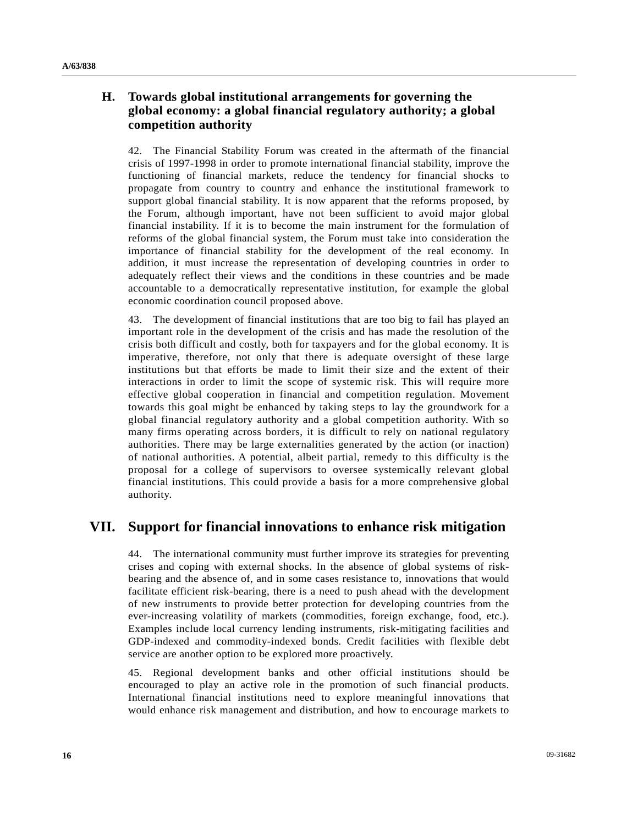## **H. Towards global institutional arrangements for governing the global economy: a global financial regulatory authority; a global competition authority**

42. The Financial Stability Forum was created in the aftermath of the financial crisis of 1997-1998 in order to promote international financial stability, improve the functioning of financial markets, reduce the tendency for financial shocks to propagate from country to country and enhance the institutional framework to support global financial stability. It is now apparent that the reforms proposed, by the Forum, although important, have not been sufficient to avoid major global financial instability. If it is to become the main instrument for the formulation of reforms of the global financial system, the Forum must take into consideration the importance of financial stability for the development of the real economy. In addition, it must increase the representation of developing countries in order to adequately reflect their views and the conditions in these countries and be made accountable to a democratically representative institution, for example the global economic coordination council proposed above.

43. The development of financial institutions that are too big to fail has played an important role in the development of the crisis and has made the resolution of the crisis both difficult and costly, both for taxpayers and for the global economy. It is imperative, therefore, not only that there is adequate oversight of these large institutions but that efforts be made to limit their size and the extent of their interactions in order to limit the scope of systemic risk. This will require more effective global cooperation in financial and competition regulation. Movement towards this goal might be enhanced by taking steps to lay the groundwork for a global financial regulatory authority and a global competition authority. With so many firms operating across borders, it is difficult to rely on national regulatory authorities. There may be large externalities generated by the action (or inaction) of national authorities. A potential, albeit partial, remedy to this difficulty is the proposal for a college of supervisors to oversee systemically relevant global financial institutions. This could provide a basis for a more comprehensive global authority.

# **VII. Support for financial innovations to enhance risk mitigation**

44. The international community must further improve its strategies for preventing crises and coping with external shocks. In the absence of global systems of riskbearing and the absence of, and in some cases resistance to, innovations that would facilitate efficient risk-bearing, there is a need to push ahead with the development of new instruments to provide better protection for developing countries from the ever-increasing volatility of markets (commodities, foreign exchange, food, etc.). Examples include local currency lending instruments, risk-mitigating facilities and GDP-indexed and commodity-indexed bonds. Credit facilities with flexible debt service are another option to be explored more proactively.

45. Regional development banks and other official institutions should be encouraged to play an active role in the promotion of such financial products. International financial institutions need to explore meaningful innovations that would enhance risk management and distribution, and how to encourage markets to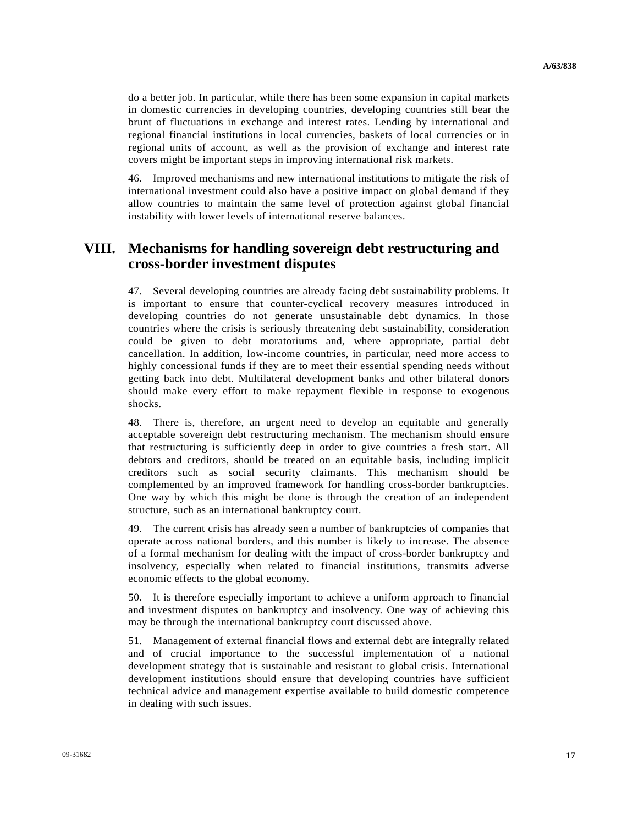do a better job. In particular, while there has been some expansion in capital markets in domestic currencies in developing countries, developing countries still bear the brunt of fluctuations in exchange and interest rates. Lending by international and regional financial institutions in local currencies, baskets of local currencies or in regional units of account, as well as the provision of exchange and interest rate covers might be important steps in improving international risk markets.

46. Improved mechanisms and new international institutions to mitigate the risk of international investment could also have a positive impact on global demand if they allow countries to maintain the same level of protection against global financial instability with lower levels of international reserve balances.

## **VIII. Mechanisms for handling sovereign debt restructuring and cross-border investment disputes**

47. Several developing countries are already facing debt sustainability problems. It is important to ensure that counter-cyclical recovery measures introduced in developing countries do not generate unsustainable debt dynamics. In those countries where the crisis is seriously threatening debt sustainability, consideration could be given to debt moratoriums and, where appropriate, partial debt cancellation. In addition, low-income countries, in particular, need more access to highly concessional funds if they are to meet their essential spending needs without getting back into debt. Multilateral development banks and other bilateral donors should make every effort to make repayment flexible in response to exogenous shocks.

48. There is, therefore, an urgent need to develop an equitable and generally acceptable sovereign debt restructuring mechanism. The mechanism should ensure that restructuring is sufficiently deep in order to give countries a fresh start. All debtors and creditors, should be treated on an equitable basis, including implicit creditors such as social security claimants. This mechanism should be complemented by an improved framework for handling cross-border bankruptcies. One way by which this might be done is through the creation of an independent structure, such as an international bankruptcy court.

49. The current crisis has already seen a number of bankruptcies of companies that operate across national borders, and this number is likely to increase. The absence of a formal mechanism for dealing with the impact of cross-border bankruptcy and insolvency, especially when related to financial institutions, transmits adverse economic effects to the global economy.

50. It is therefore especially important to achieve a uniform approach to financial and investment disputes on bankruptcy and insolvency. One way of achieving this may be through the international bankruptcy court discussed above.

51. Management of external financial flows and external debt are integrally related and of crucial importance to the successful implementation of a national development strategy that is sustainable and resistant to global crisis. International development institutions should ensure that developing countries have sufficient technical advice and management expertise available to build domestic competence in dealing with such issues.